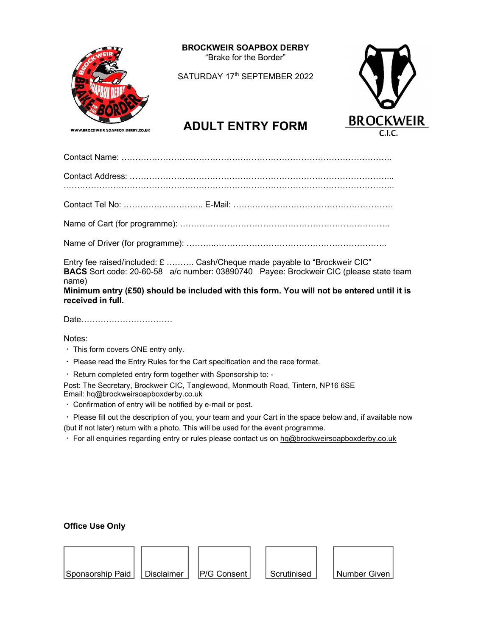

BROCKWEIR SOAPBOX DERBY "Brake for the Border"

SATURDAY 17<sup>th</sup> SEPTEMBER 2022



# ADULT ENTRY FORM BROCKWEIR

Contact Name: ……………………………………………………………………………………..

Contact Address: …………………………………………………………………………………...

.………………………………………………………………………………………………………..

Contact Tel No: ……………………….. E-Mail: …….……………………………………………

Name of Cart (for programme): ………………………………………………………………….

Name of Driver (for programme): ………..……………………………………………………..

Entry fee raised/included: £ ………. Cash/Cheque made payable to "Brockweir CIC" BACS Sort code: 20-60-58 a/c number: 03890740 Payee: Brockweir CIC (please state team name)

Minimum entry (£50) should be included with this form. You will not be entered until it is received in full.

Date……………………………

Notes:

- $\cdot$  This form covers ONE entry only.
- Please read the Entry Rules for the Cart specification and the race format.
- Return completed entry form together with Sponsorship to: -

Post: The Secretary, Brockweir CIC, Tanglewood, Monmouth Road, Tintern, NP16 6SE Email: hq@brockweirsoapboxderby.co.uk

Confirmation of entry will be notified by e-mail or post.

 Please fill out the description of you, your team and your Cart in the space below and, if available now (but if not later) return with a photo. This will be used for the event programme.

For all enquiries regarding entry or rules please contact us on hq@brockweirsoapboxderby.co.uk

# Office Use Only

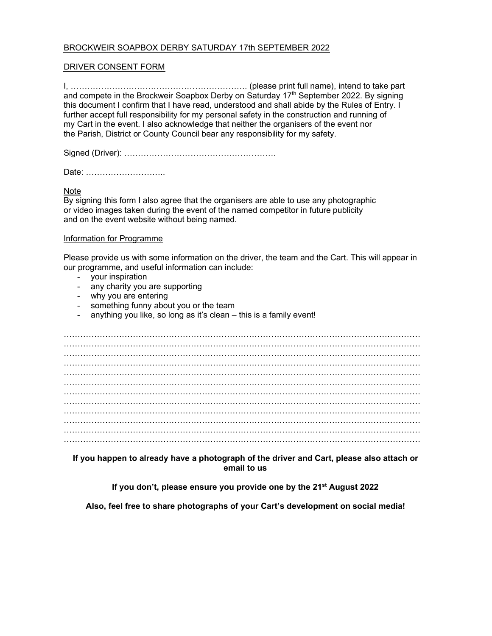## BROCKWEIR SOAPBOX DERBY SATURDAY 17th SEPTEMBER 2022

#### DRIVER CONSENT FORM

I, ………………………………………………………. (please print full name), intend to take part and compete in the Brockweir Soapbox Derby on Saturday 17<sup>th</sup> September 2022. By signing this document I confirm that I have read, understood and shall abide by the Rules of Entry. I further accept full responsibility for my personal safety in the construction and running of my Cart in the event. I also acknowledge that neither the organisers of the event nor the Parish, District or County Council bear any responsibility for my safety.

Signed (Driver): ……………………………………………….

Date: ………………………..

**Note** 

By signing this form I also agree that the organisers are able to use any photographic or video images taken during the event of the named competitor in future publicity and on the event website without being named.

#### Information for Programme

Please provide us with some information on the driver, the team and the Cart. This will appear in our programme, and useful information can include:

- your inspiration
- any charity you are supporting
- why you are entering
- something funny about you or the team
- anything you like, so long as it's clean this is a family event!

…………………………………………………………………………………………………………………  $\mathcal{L}^{\text{max}}_{\text{max}}$ ………………………………………………………………………………………………………………… ………………………………………………………………………………………………………………… ………………………………………………………………………………………………………………… ………………………………………………………………………………………………………………… ………………………………………………………………………………………………………………… ………………………………………………………………………………………………………………… ………………………………………………………………………………………………………………… ………………………………………………………………………………………………………………… ………………………………………………………………………………………………………………… …………………………………………………………………………………………………………………

If you happen to already have a photograph of the driver and Cart, please also attach or email to us

If you don't, please ensure you provide one by the 21st August 202**2**

Also, feel free to share photographs of your Cart's development on social media!